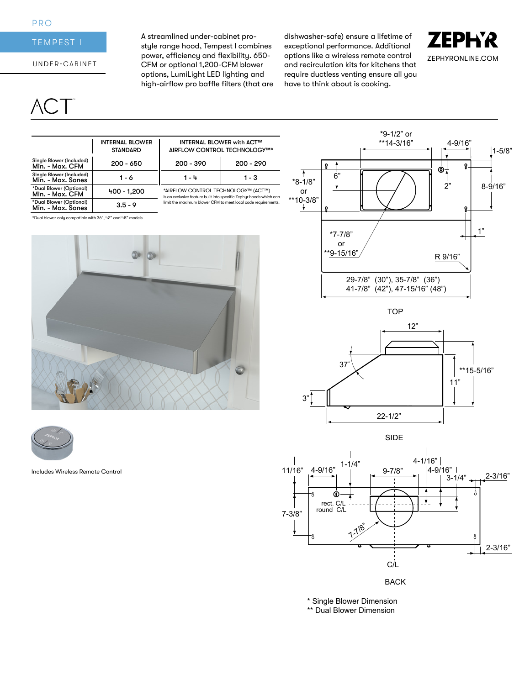### PRO

## TEMPEST I

### UNDER-CABINET

# $CT$

A streamlined under-cabinet prostyle range hood, Tempest I combines power, efficiency and flexibility. 650- CFM or optional 1,200-CFM blower options, LumiLight LED lighting and high-airflow pro baffle filters (that are dishwasher-safe) ensure a lifetime of exceptional performance. Additional options like a wireless remote control and recirculation kits for kitchens that require ductless venting ensure all you have to think about is cooking.



|                                               | <b>INTERNAL BLOWER</b><br><b>STANDARD</b> | <b>INTERNAL BLOWER with ACT™</b><br>AIRFLOW CONTROL TECHNOLOGY™*                                                                                                           |             |  |
|-----------------------------------------------|-------------------------------------------|----------------------------------------------------------------------------------------------------------------------------------------------------------------------------|-------------|--|
| Single Blower (Included)<br>Min. - Max. CFM   | $200 - 650$                               | $200 - 390$                                                                                                                                                                | $200 - 290$ |  |
| Single Blower (Included)<br>Min. - Max. Sones | 1 - 6                                     | 1 - 4                                                                                                                                                                      | 1 - 3       |  |
| *Dual Blower (Optional)<br>Min. - Max. CFM    | 400 - 1.200                               | *AIRFLOW CONTROL TECHNOLOGY™ (ACT™)<br>is an exclusive feature built into specific Zephur hoods which car<br>limit the maximum blower CFM to meet local code requirements. |             |  |
| *Dual Blower (Optional)<br>Min. - Max. Sones  | $3.5 - 9$                                 |                                                                                                                                                                            |             |  |

\*Dual blower only compatible with 36", 42" and 48" models





Includes Wireless Remote Control



TOP





BACK

\* Single Blower Dimension \*\* Dual Blower Dimension